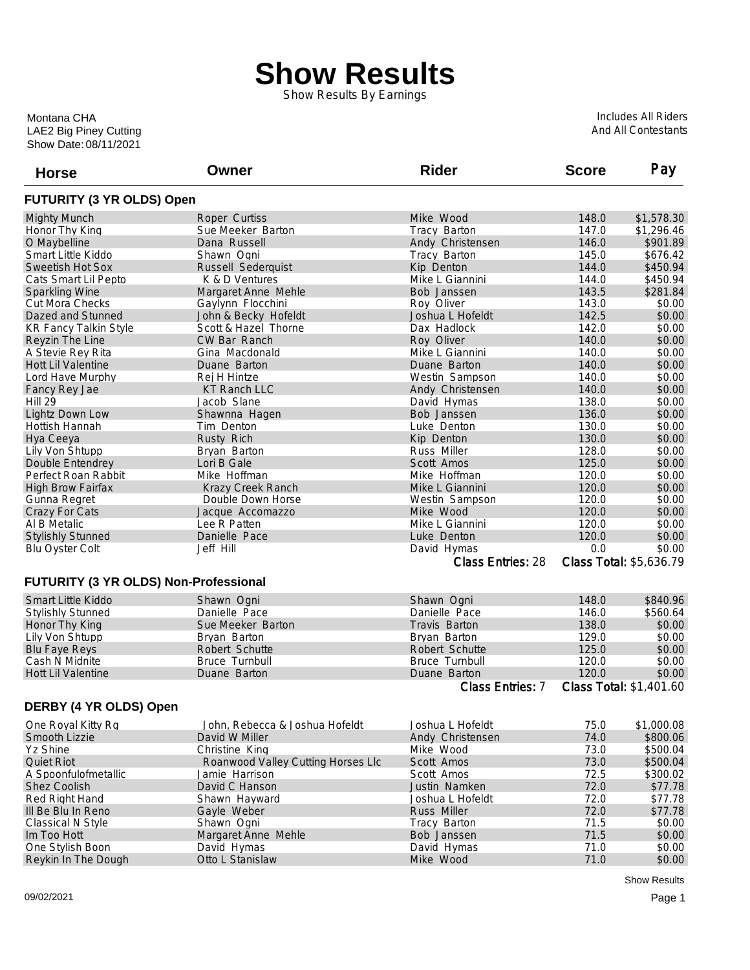## **Show Results**

Show Results By Earnings

Show Date: 08/11/2021 LAE2 Big Piney Cutting Montana CHA

Includes All Riders And All Contestants

| <b>Horse</b>                          | Owner                              | <b>Rider</b>             | <b>Score</b> | Pay                     |
|---------------------------------------|------------------------------------|--------------------------|--------------|-------------------------|
| FUTURITY (3 YR OLDS) Open             |                                    |                          |              |                         |
| <b>Mighty Munch</b>                   | Roper Curtiss                      | Mike Wood                | 148.0        | \$1,578.30              |
| Honor Thy King                        | Sue Meeker Barton                  | Tracy Barton             | 147.0        | \$1,296.46              |
| O Maybelline                          | Dana Russell                       | Andy Christensen         | 146.0        | \$901.89                |
| Smart Little Kiddo                    | Shawn Ogni                         | Tracy Barton             | 145.0        | \$676.42                |
| Sweetish Hot Sox                      | Russell Sederquist                 | Kip Denton               | 144.0        | \$450.94                |
| Cats Smart Lil Pepto                  | K & D Ventures                     | Mike L Giannini          | 144.0        | \$450.94                |
| <b>Sparkling Wine</b>                 | Margaret Anne Mehle                | Bob Janssen              | 143.5        | \$281.84                |
| Cut Mora Checks                       | Gaylynn Flocchini                  | Roy Oliver               | 143.0        | \$0.00                  |
| Dazed and Stunned                     | John & Becky Hofeldt               | Joshua L Hofeldt         | 142.5        | \$0.00                  |
| <b>KR Fancy Talkin Style</b>          | Scott & Hazel Thorne               | Dax Hadlock              | 142.0        | \$0.00                  |
| Reyzin The Line                       | CW Bar Ranch                       | Roy Oliver               | 140.0        | \$0.00                  |
| A Stevie Rey Rita                     | Gina Macdonald                     | Mike L Giannini          | 140.0        | \$0.00                  |
| Hott Lil Valentine                    | Duane Barton                       | Duane Barton             | 140.0        | \$0.00                  |
| Lord Have Murphy                      | Rej H Hintze                       | Westin Sampson           | 140.0        | \$0.00                  |
| Fancy Rey Jae                         | <b>KT Ranch LLC</b>                | Andy Christensen         | 140.0        | \$0.00                  |
| Hill 29                               | Jacob Slane                        | David Hymas              | 138.0        | \$0.00                  |
| Lightz Down Low                       | Shawnna Hagen                      | Bob Janssen              | 136.0        | \$0.00                  |
| Hottish Hannah                        | Tim Denton                         | Luke Denton              | 130.0        | \$0.00                  |
| Hya Ceeya                             | Rusty Rich                         | Kip Denton               | 130.0        | \$0.00                  |
| Lily Von Shtupp                       | Bryan Barton                       | <b>Russ Miller</b>       | 128.0        | \$0.00                  |
| Double Entendrey                      | Lori B Gale                        | Scott Amos               | 125.0        | \$0.00                  |
| Perfect Roan Rabbit                   | Mike Hoffman                       | Mike Hoffman             | 120.0        | \$0.00                  |
| <b>High Brow Fairfax</b>              | Krazy Creek Ranch                  | Mike L Giannini          | 120.0        | \$0.00                  |
| Gunna Regret                          | Double Down Horse                  | Westin Sampson           | 120.0        | \$0.00                  |
| Crazy For Cats                        | Jacque Accomazzo                   | Mike Wood                | 120.0        | \$0.00                  |
| Al B Metalic                          | Lee R Patten                       | Mike L Giannini          | 120.0        | \$0.00                  |
| <b>Stylishly Stunned</b>              | Danielle Pace                      | Luke Denton              | 120.0        | \$0.00                  |
| <b>Blu Oyster Colt</b>                | Jeff Hill                          | David Hymas              | 0.0          | \$0.00                  |
|                                       |                                    | <b>Class Entries: 28</b> |              | Class Total: \$5,636.79 |
| FUTURITY (3 YR OLDS) Non-Professional |                                    |                          |              |                         |
| <b>Smart Little Kiddo</b>             | Shawn Ogni                         | Shawn Ogni               | 148.0        | \$840.96                |
| <b>Stylishly Stunned</b>              | Danielle Pace                      | Danielle Pace            | 146.0        | \$560.64                |
| Honor Thy King                        | Sue Meeker Barton                  | Travis Barton            | 138.0        | \$0.00                  |
| Lily Von Shtupp                       | Bryan Barton                       | Bryan Barton             | 129.0        | \$0.00                  |
| <b>Blu Faye Reys</b>                  | Robert Schutte                     | Robert Schutte           | 125.0        | \$0.00                  |
| Cash N Midnite                        | <b>Bruce Turnbull</b>              | <b>Bruce Turnbull</b>    | 120.0        | \$0.00                  |
| Hott Lil Valentine                    | Duane Barton                       | Duane Barton             | 120.0        | \$0.00                  |
|                                       |                                    | <b>Class Entries: 7</b>  |              | Class Total: \$1,401.60 |
| DERBY (4 YR OLDS) Open                |                                    |                          |              |                         |
| One Royal Kitty Rg                    | John, Rebecca & Joshua Hofeldt     | Joshua L Hofeldt         | 75.0         | \$1,000.08              |
| Smooth Lizzie                         | David W Miller                     | Andy Christensen         | 74.0         | \$800.06                |
| Yz Shine                              | Christine King                     | Mike Wood                | 73.0         | \$500.04                |
| <b>Quiet Riot</b>                     | Roanwood Valley Cutting Horses Llc | Scott Amos               | 73.0         | \$500.04                |
| A Spoonfulofmetallic                  | Jamie Harrison                     | Scott Amos               | 72.5         | \$300.02                |
| Shez Coolish                          | David C Hanson                     | Justin Namken            | 72.0         | \$77.78                 |
| Red Right Hand                        | Shawn Hayward                      | Joshua L Hofeldt         | 72.0         | \$77.78                 |
| III Be Blu In Reno                    | Gayle Weber                        | Russ Miller              | 72.0         | \$77.78                 |
| Classical N Style                     | Shawn Ogni                         | Tracy Barton             | 71.5         | \$0.00                  |
| Im Too Hott                           | Margaret Anne Mehle                | Bob Janssen              | 71.5         | \$0.00                  |
| One Stylish Boon                      | David Hymas                        | David Hymas              | 71.0         | \$0.00                  |
| Reykin In The Dough                   | Otto L Stanislaw                   | Mike Wood                | 71.0         | \$0.00                  |
|                                       |                                    |                          |              |                         |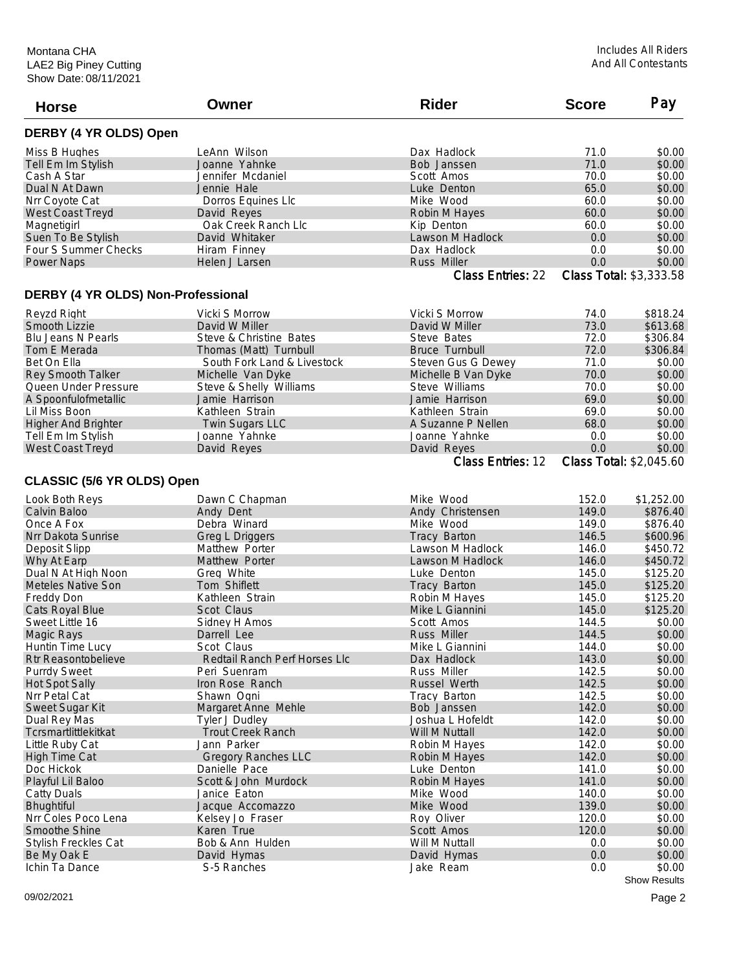| DERBY (4 YR OLDS) Open<br>LeAnn Wilson<br>71.0<br>\$0.00<br>Miss B Hughes<br>Dax Hadlock<br>71.0<br>Joanne Yahnke<br>\$0.00<br>Tell Em Im Stylish<br>Bob Janssen<br>70.0<br>\$0.00<br>Cash A Star<br>Jennifer Mcdaniel<br>Scott Amos<br>65.0<br>Dual N At Dawn<br>Jennie Hale<br>Luke Denton<br>\$0.00<br>60.0<br>Nrr Coyote Cat<br>Dorros Equines Llc<br>Mike Wood<br>\$0.00<br>60.0<br>\$0.00<br><b>West Coast Treyd</b><br>David Reyes<br>Robin M Hayes<br>Oak Creek Ranch Llc<br>\$0.00<br>Magnetigirl<br>Kip Denton<br>60.0<br>Suen To Be Stylish<br>David Whitaker<br>Lawson M Hadlock<br>0.0<br>\$0.00<br>Four S Summer Checks<br>\$0.00<br>Hiram Finney<br>Dax Hadlock<br>0.0<br>0.0<br>\$0.00<br><b>Power Naps</b><br>Helen J Larsen<br><b>Russ Miller</b><br><b>Class Entries: 22</b><br>Class Total: \$3,333.58<br>DERBY (4 YR OLDS) Non-Professional<br>Vicki S Morrow<br>Vicki S Morrow<br>74.0<br>\$818.24<br>Reyzd Right<br>73.0<br>David W Miller<br>\$613.68<br>Smooth Lizzie<br>David W Miller<br>72.0<br>\$306.84<br><b>Blu Jeans N Pearls</b><br>Steve & Christine Bates<br>Steve Bates<br>72.0<br>Tom E Merada<br>Thomas (Matt) Turnbull<br><b>Bruce Turnbull</b><br>\$306.84<br>71.0<br>\$0.00<br>Bet On Ella<br>South Fork Land & Livestock<br>Steven Gus G Dewey<br>70.0<br>\$0.00<br>Rey Smooth Talker<br>Michelle Van Dyke<br>Michelle B Van Dyke<br>Steve Williams<br>70.0<br>\$0.00<br>Queen Under Pressure<br>Steve & Shelly Williams<br>Jamie Harrison<br>69.0<br>\$0.00<br>A Spoonfulofmetallic<br>Jamie Harrison<br>Lil Miss Boon<br>Kathleen Strain<br>69.0<br>\$0.00<br>Kathleen Strain<br>\$0.00<br><b>Higher And Brighter</b><br>Twin Sugars LLC<br>A Suzanne P Nellen<br>68.0<br>\$0.00<br>Tell Em Im Stylish<br>Joanne Yahnke<br>Joanne Yahnke<br>0.0<br>David Reyes<br>David Reyes<br>0.0<br>\$0.00<br>West Coast Treyd<br>Class Entries: 12<br>Class Total: \$2,045.60<br>CLASSIC (5/6 YR OLDS) Open<br>152.0<br>\$1,252.00<br>Look Both Reys<br>Dawn C Chapman<br>Mike Wood<br>149.0<br>Calvin Baloo<br>Andy Dent<br>Andy Christensen<br>\$876.40<br>Debra Winard<br>149.0<br>Once A Fox<br>Mike Wood<br>\$876.40<br>146.5<br>\$600.96<br>Nrr Dakota Sunrise<br>Greg L Driggers<br>Tracy Barton<br>Lawson M Hadlock<br>\$450.72<br>Matthew Porter<br>146.0<br>Deposit Slipp<br>146.0<br>\$450.72<br>Why At Earp<br>Matthew Porter<br>Lawson M Hadlock<br>\$125.20<br>145.0<br>Dual N At High Noon<br>Greg White<br>Luke Denton<br>145.0<br>\$125.20<br><b>Meteles Native Son</b><br>Tom Shiflett<br>Tracy Barton<br>145.0<br>\$125.20<br>Freddy Don<br>Kathleen Strain<br>Robin M Hayes<br>\$125.20<br>Cats Royal Blue<br>Scot Claus<br>Mike L Giannini<br>145.0<br>Sweet Little 16<br>\$0.00<br>Sidney H Amos<br>Scott Amos<br>144.5<br>144.5<br>\$0.00<br><b>Magic Rays</b><br>Darrell Lee<br><b>Russ Miller</b><br>144.0<br>Scot Claus<br>Mike L Giannini<br>Huntin Time Lucy<br>143.0<br>Rtr Reasontobelieve<br>Redtail Ranch Perf Horses Llc<br>Dax Hadlock<br>Russ Miller<br>142.5<br><b>Purrdy Sweet</b><br>Peri Suenram<br>142.5<br>Iron Rose Ranch<br>Russel Werth<br><b>Hot Spot Sally</b><br>142.5<br>Nrr Petal Cat<br>Shawn Ogni<br>Tracy Barton<br>142.0<br>Sweet Sugar Kit<br>Margaret Anne Mehle<br>Bob Janssen<br>Dual Rey Mas<br><b>Tyler J Dudley</b><br>Joshua L Hofeldt<br>142.0<br>142.0<br>Tcrsmartlittlekitkat<br><b>Trout Creek Ranch</b><br>Will M Nuttall<br>Jann Parker<br>142.0<br>Little Ruby Cat<br>Robin M Hayes<br><b>High Time Cat</b><br><b>Gregory Ranches LLC</b><br>Robin M Hayes<br>142.0<br>Doc Hickok<br>141.0<br>\$0.00<br>Danielle Pace<br>Luke Denton<br>Playful Lil Baloo<br>Scott & John Murdock<br>141.0<br>Robin M Hayes<br>140.0<br>Mike Wood<br>Catty Duals<br>Janice Eaton<br>139.0<br>Bhughtiful<br>Jacque Accomazzo<br>Mike Wood<br>Nrr Coles Poco Lena<br>Kelsey Jo Fraser<br>Roy Oliver<br>120.0<br>Smoothe Shine<br>Karen True<br>Scott Amos<br>120.0<br>Bob & Ann Hulden<br><b>Stylish Freckles Cat</b><br>Will M Nuttall<br>0.0<br>$0.0\,$<br>Be My Oak E<br>David Hymas<br>David Hymas<br>Ichin Ta Dance<br>S-5 Ranches<br>Jake Ream<br>0.0<br>\$0.00 | <b>Horse</b> | Owner | <b>Rider</b> | <b>Score</b> | Pay |
|----------------------------------------------------------------------------------------------------------------------------------------------------------------------------------------------------------------------------------------------------------------------------------------------------------------------------------------------------------------------------------------------------------------------------------------------------------------------------------------------------------------------------------------------------------------------------------------------------------------------------------------------------------------------------------------------------------------------------------------------------------------------------------------------------------------------------------------------------------------------------------------------------------------------------------------------------------------------------------------------------------------------------------------------------------------------------------------------------------------------------------------------------------------------------------------------------------------------------------------------------------------------------------------------------------------------------------------------------------------------------------------------------------------------------------------------------------------------------------------------------------------------------------------------------------------------------------------------------------------------------------------------------------------------------------------------------------------------------------------------------------------------------------------------------------------------------------------------------------------------------------------------------------------------------------------------------------------------------------------------------------------------------------------------------------------------------------------------------------------------------------------------------------------------------------------------------------------------------------------------------------------------------------------------------------------------------------------------------------------------------------------------------------------------------------------------------------------------------------------------------------------------------------------------------------------------------------------------------------------------------------------------------------------------------------------------------------------------------------------------------------------------------------------------------------------------------------------------------------------------------------------------------------------------------------------------------------------------------------------------------------------------------------------------------------------------------------------------------------------------------------------------------------------------------------------------------------------------------------------------------------------------------------------------------------------------------------------------------------------------------------------------------------------------------------------------------------------------------------------------------------------------------------------------------------------------------------------------------------------------------------------------------------------------------------------------------------------------------------------------------------------------------------------------------------------------------------------------------------------------------------------------------------------------------------------------------------------------------------------------------------------------------------------------------------------------------------------------------------------------------------------------------------|--------------|-------|--------------|--------------|-----|
|                                                                                                                                                                                                                                                                                                                                                                                                                                                                                                                                                                                                                                                                                                                                                                                                                                                                                                                                                                                                                                                                                                                                                                                                                                                                                                                                                                                                                                                                                                                                                                                                                                                                                                                                                                                                                                                                                                                                                                                                                                                                                                                                                                                                                                                                                                                                                                                                                                                                                                                                                                                                                                                                                                                                                                                                                                                                                                                                                                                                                                                                                                                                                                                                                                                                                                                                                                                                                                                                                                                                                                                                                                                                                                                                                                                                                                                                                                                                                                                                                                                                                                                                                          |              |       |              |              |     |
|                                                                                                                                                                                                                                                                                                                                                                                                                                                                                                                                                                                                                                                                                                                                                                                                                                                                                                                                                                                                                                                                                                                                                                                                                                                                                                                                                                                                                                                                                                                                                                                                                                                                                                                                                                                                                                                                                                                                                                                                                                                                                                                                                                                                                                                                                                                                                                                                                                                                                                                                                                                                                                                                                                                                                                                                                                                                                                                                                                                                                                                                                                                                                                                                                                                                                                                                                                                                                                                                                                                                                                                                                                                                                                                                                                                                                                                                                                                                                                                                                                                                                                                                                          |              |       |              |              |     |
| \$0.00<br>\$0.00<br>\$0.00<br>\$0.00<br>\$0.00<br>\$0.00<br>\$0.00<br>\$0.00<br>\$0.00<br>\$0.00<br>\$0.00<br>\$0.00<br>\$0.00<br>\$0.00<br>\$0.00<br>\$0.00<br>\$0.00                                                                                                                                                                                                                                                                                                                                                                                                                                                                                                                                                                                                                                                                                                                                                                                                                                                                                                                                                                                                                                                                                                                                                                                                                                                                                                                                                                                                                                                                                                                                                                                                                                                                                                                                                                                                                                                                                                                                                                                                                                                                                                                                                                                                                                                                                                                                                                                                                                                                                                                                                                                                                                                                                                                                                                                                                                                                                                                                                                                                                                                                                                                                                                                                                                                                                                                                                                                                                                                                                                                                                                                                                                                                                                                                                                                                                                                                                                                                                                                   |              |       |              |              |     |
|                                                                                                                                                                                                                                                                                                                                                                                                                                                                                                                                                                                                                                                                                                                                                                                                                                                                                                                                                                                                                                                                                                                                                                                                                                                                                                                                                                                                                                                                                                                                                                                                                                                                                                                                                                                                                                                                                                                                                                                                                                                                                                                                                                                                                                                                                                                                                                                                                                                                                                                                                                                                                                                                                                                                                                                                                                                                                                                                                                                                                                                                                                                                                                                                                                                                                                                                                                                                                                                                                                                                                                                                                                                                                                                                                                                                                                                                                                                                                                                                                                                                                                                                                          |              |       |              |              |     |
|                                                                                                                                                                                                                                                                                                                                                                                                                                                                                                                                                                                                                                                                                                                                                                                                                                                                                                                                                                                                                                                                                                                                                                                                                                                                                                                                                                                                                                                                                                                                                                                                                                                                                                                                                                                                                                                                                                                                                                                                                                                                                                                                                                                                                                                                                                                                                                                                                                                                                                                                                                                                                                                                                                                                                                                                                                                                                                                                                                                                                                                                                                                                                                                                                                                                                                                                                                                                                                                                                                                                                                                                                                                                                                                                                                                                                                                                                                                                                                                                                                                                                                                                                          |              |       |              |              |     |
|                                                                                                                                                                                                                                                                                                                                                                                                                                                                                                                                                                                                                                                                                                                                                                                                                                                                                                                                                                                                                                                                                                                                                                                                                                                                                                                                                                                                                                                                                                                                                                                                                                                                                                                                                                                                                                                                                                                                                                                                                                                                                                                                                                                                                                                                                                                                                                                                                                                                                                                                                                                                                                                                                                                                                                                                                                                                                                                                                                                                                                                                                                                                                                                                                                                                                                                                                                                                                                                                                                                                                                                                                                                                                                                                                                                                                                                                                                                                                                                                                                                                                                                                                          |              |       |              |              |     |
|                                                                                                                                                                                                                                                                                                                                                                                                                                                                                                                                                                                                                                                                                                                                                                                                                                                                                                                                                                                                                                                                                                                                                                                                                                                                                                                                                                                                                                                                                                                                                                                                                                                                                                                                                                                                                                                                                                                                                                                                                                                                                                                                                                                                                                                                                                                                                                                                                                                                                                                                                                                                                                                                                                                                                                                                                                                                                                                                                                                                                                                                                                                                                                                                                                                                                                                                                                                                                                                                                                                                                                                                                                                                                                                                                                                                                                                                                                                                                                                                                                                                                                                                                          |              |       |              |              |     |
|                                                                                                                                                                                                                                                                                                                                                                                                                                                                                                                                                                                                                                                                                                                                                                                                                                                                                                                                                                                                                                                                                                                                                                                                                                                                                                                                                                                                                                                                                                                                                                                                                                                                                                                                                                                                                                                                                                                                                                                                                                                                                                                                                                                                                                                                                                                                                                                                                                                                                                                                                                                                                                                                                                                                                                                                                                                                                                                                                                                                                                                                                                                                                                                                                                                                                                                                                                                                                                                                                                                                                                                                                                                                                                                                                                                                                                                                                                                                                                                                                                                                                                                                                          |              |       |              |              |     |
|                                                                                                                                                                                                                                                                                                                                                                                                                                                                                                                                                                                                                                                                                                                                                                                                                                                                                                                                                                                                                                                                                                                                                                                                                                                                                                                                                                                                                                                                                                                                                                                                                                                                                                                                                                                                                                                                                                                                                                                                                                                                                                                                                                                                                                                                                                                                                                                                                                                                                                                                                                                                                                                                                                                                                                                                                                                                                                                                                                                                                                                                                                                                                                                                                                                                                                                                                                                                                                                                                                                                                                                                                                                                                                                                                                                                                                                                                                                                                                                                                                                                                                                                                          |              |       |              |              |     |
|                                                                                                                                                                                                                                                                                                                                                                                                                                                                                                                                                                                                                                                                                                                                                                                                                                                                                                                                                                                                                                                                                                                                                                                                                                                                                                                                                                                                                                                                                                                                                                                                                                                                                                                                                                                                                                                                                                                                                                                                                                                                                                                                                                                                                                                                                                                                                                                                                                                                                                                                                                                                                                                                                                                                                                                                                                                                                                                                                                                                                                                                                                                                                                                                                                                                                                                                                                                                                                                                                                                                                                                                                                                                                                                                                                                                                                                                                                                                                                                                                                                                                                                                                          |              |       |              |              |     |
|                                                                                                                                                                                                                                                                                                                                                                                                                                                                                                                                                                                                                                                                                                                                                                                                                                                                                                                                                                                                                                                                                                                                                                                                                                                                                                                                                                                                                                                                                                                                                                                                                                                                                                                                                                                                                                                                                                                                                                                                                                                                                                                                                                                                                                                                                                                                                                                                                                                                                                                                                                                                                                                                                                                                                                                                                                                                                                                                                                                                                                                                                                                                                                                                                                                                                                                                                                                                                                                                                                                                                                                                                                                                                                                                                                                                                                                                                                                                                                                                                                                                                                                                                          |              |       |              |              |     |
|                                                                                                                                                                                                                                                                                                                                                                                                                                                                                                                                                                                                                                                                                                                                                                                                                                                                                                                                                                                                                                                                                                                                                                                                                                                                                                                                                                                                                                                                                                                                                                                                                                                                                                                                                                                                                                                                                                                                                                                                                                                                                                                                                                                                                                                                                                                                                                                                                                                                                                                                                                                                                                                                                                                                                                                                                                                                                                                                                                                                                                                                                                                                                                                                                                                                                                                                                                                                                                                                                                                                                                                                                                                                                                                                                                                                                                                                                                                                                                                                                                                                                                                                                          |              |       |              |              |     |
|                                                                                                                                                                                                                                                                                                                                                                                                                                                                                                                                                                                                                                                                                                                                                                                                                                                                                                                                                                                                                                                                                                                                                                                                                                                                                                                                                                                                                                                                                                                                                                                                                                                                                                                                                                                                                                                                                                                                                                                                                                                                                                                                                                                                                                                                                                                                                                                                                                                                                                                                                                                                                                                                                                                                                                                                                                                                                                                                                                                                                                                                                                                                                                                                                                                                                                                                                                                                                                                                                                                                                                                                                                                                                                                                                                                                                                                                                                                                                                                                                                                                                                                                                          |              |       |              |              |     |
|                                                                                                                                                                                                                                                                                                                                                                                                                                                                                                                                                                                                                                                                                                                                                                                                                                                                                                                                                                                                                                                                                                                                                                                                                                                                                                                                                                                                                                                                                                                                                                                                                                                                                                                                                                                                                                                                                                                                                                                                                                                                                                                                                                                                                                                                                                                                                                                                                                                                                                                                                                                                                                                                                                                                                                                                                                                                                                                                                                                                                                                                                                                                                                                                                                                                                                                                                                                                                                                                                                                                                                                                                                                                                                                                                                                                                                                                                                                                                                                                                                                                                                                                                          |              |       |              |              |     |
|                                                                                                                                                                                                                                                                                                                                                                                                                                                                                                                                                                                                                                                                                                                                                                                                                                                                                                                                                                                                                                                                                                                                                                                                                                                                                                                                                                                                                                                                                                                                                                                                                                                                                                                                                                                                                                                                                                                                                                                                                                                                                                                                                                                                                                                                                                                                                                                                                                                                                                                                                                                                                                                                                                                                                                                                                                                                                                                                                                                                                                                                                                                                                                                                                                                                                                                                                                                                                                                                                                                                                                                                                                                                                                                                                                                                                                                                                                                                                                                                                                                                                                                                                          |              |       |              |              |     |
|                                                                                                                                                                                                                                                                                                                                                                                                                                                                                                                                                                                                                                                                                                                                                                                                                                                                                                                                                                                                                                                                                                                                                                                                                                                                                                                                                                                                                                                                                                                                                                                                                                                                                                                                                                                                                                                                                                                                                                                                                                                                                                                                                                                                                                                                                                                                                                                                                                                                                                                                                                                                                                                                                                                                                                                                                                                                                                                                                                                                                                                                                                                                                                                                                                                                                                                                                                                                                                                                                                                                                                                                                                                                                                                                                                                                                                                                                                                                                                                                                                                                                                                                                          |              |       |              |              |     |
|                                                                                                                                                                                                                                                                                                                                                                                                                                                                                                                                                                                                                                                                                                                                                                                                                                                                                                                                                                                                                                                                                                                                                                                                                                                                                                                                                                                                                                                                                                                                                                                                                                                                                                                                                                                                                                                                                                                                                                                                                                                                                                                                                                                                                                                                                                                                                                                                                                                                                                                                                                                                                                                                                                                                                                                                                                                                                                                                                                                                                                                                                                                                                                                                                                                                                                                                                                                                                                                                                                                                                                                                                                                                                                                                                                                                                                                                                                                                                                                                                                                                                                                                                          |              |       |              |              |     |
|                                                                                                                                                                                                                                                                                                                                                                                                                                                                                                                                                                                                                                                                                                                                                                                                                                                                                                                                                                                                                                                                                                                                                                                                                                                                                                                                                                                                                                                                                                                                                                                                                                                                                                                                                                                                                                                                                                                                                                                                                                                                                                                                                                                                                                                                                                                                                                                                                                                                                                                                                                                                                                                                                                                                                                                                                                                                                                                                                                                                                                                                                                                                                                                                                                                                                                                                                                                                                                                                                                                                                                                                                                                                                                                                                                                                                                                                                                                                                                                                                                                                                                                                                          |              |       |              |              |     |
|                                                                                                                                                                                                                                                                                                                                                                                                                                                                                                                                                                                                                                                                                                                                                                                                                                                                                                                                                                                                                                                                                                                                                                                                                                                                                                                                                                                                                                                                                                                                                                                                                                                                                                                                                                                                                                                                                                                                                                                                                                                                                                                                                                                                                                                                                                                                                                                                                                                                                                                                                                                                                                                                                                                                                                                                                                                                                                                                                                                                                                                                                                                                                                                                                                                                                                                                                                                                                                                                                                                                                                                                                                                                                                                                                                                                                                                                                                                                                                                                                                                                                                                                                          |              |       |              |              |     |
|                                                                                                                                                                                                                                                                                                                                                                                                                                                                                                                                                                                                                                                                                                                                                                                                                                                                                                                                                                                                                                                                                                                                                                                                                                                                                                                                                                                                                                                                                                                                                                                                                                                                                                                                                                                                                                                                                                                                                                                                                                                                                                                                                                                                                                                                                                                                                                                                                                                                                                                                                                                                                                                                                                                                                                                                                                                                                                                                                                                                                                                                                                                                                                                                                                                                                                                                                                                                                                                                                                                                                                                                                                                                                                                                                                                                                                                                                                                                                                                                                                                                                                                                                          |              |       |              |              |     |
|                                                                                                                                                                                                                                                                                                                                                                                                                                                                                                                                                                                                                                                                                                                                                                                                                                                                                                                                                                                                                                                                                                                                                                                                                                                                                                                                                                                                                                                                                                                                                                                                                                                                                                                                                                                                                                                                                                                                                                                                                                                                                                                                                                                                                                                                                                                                                                                                                                                                                                                                                                                                                                                                                                                                                                                                                                                                                                                                                                                                                                                                                                                                                                                                                                                                                                                                                                                                                                                                                                                                                                                                                                                                                                                                                                                                                                                                                                                                                                                                                                                                                                                                                          |              |       |              |              |     |
|                                                                                                                                                                                                                                                                                                                                                                                                                                                                                                                                                                                                                                                                                                                                                                                                                                                                                                                                                                                                                                                                                                                                                                                                                                                                                                                                                                                                                                                                                                                                                                                                                                                                                                                                                                                                                                                                                                                                                                                                                                                                                                                                                                                                                                                                                                                                                                                                                                                                                                                                                                                                                                                                                                                                                                                                                                                                                                                                                                                                                                                                                                                                                                                                                                                                                                                                                                                                                                                                                                                                                                                                                                                                                                                                                                                                                                                                                                                                                                                                                                                                                                                                                          |              |       |              |              |     |
|                                                                                                                                                                                                                                                                                                                                                                                                                                                                                                                                                                                                                                                                                                                                                                                                                                                                                                                                                                                                                                                                                                                                                                                                                                                                                                                                                                                                                                                                                                                                                                                                                                                                                                                                                                                                                                                                                                                                                                                                                                                                                                                                                                                                                                                                                                                                                                                                                                                                                                                                                                                                                                                                                                                                                                                                                                                                                                                                                                                                                                                                                                                                                                                                                                                                                                                                                                                                                                                                                                                                                                                                                                                                                                                                                                                                                                                                                                                                                                                                                                                                                                                                                          |              |       |              |              |     |
|                                                                                                                                                                                                                                                                                                                                                                                                                                                                                                                                                                                                                                                                                                                                                                                                                                                                                                                                                                                                                                                                                                                                                                                                                                                                                                                                                                                                                                                                                                                                                                                                                                                                                                                                                                                                                                                                                                                                                                                                                                                                                                                                                                                                                                                                                                                                                                                                                                                                                                                                                                                                                                                                                                                                                                                                                                                                                                                                                                                                                                                                                                                                                                                                                                                                                                                                                                                                                                                                                                                                                                                                                                                                                                                                                                                                                                                                                                                                                                                                                                                                                                                                                          |              |       |              |              |     |
|                                                                                                                                                                                                                                                                                                                                                                                                                                                                                                                                                                                                                                                                                                                                                                                                                                                                                                                                                                                                                                                                                                                                                                                                                                                                                                                                                                                                                                                                                                                                                                                                                                                                                                                                                                                                                                                                                                                                                                                                                                                                                                                                                                                                                                                                                                                                                                                                                                                                                                                                                                                                                                                                                                                                                                                                                                                                                                                                                                                                                                                                                                                                                                                                                                                                                                                                                                                                                                                                                                                                                                                                                                                                                                                                                                                                                                                                                                                                                                                                                                                                                                                                                          |              |       |              |              |     |
|                                                                                                                                                                                                                                                                                                                                                                                                                                                                                                                                                                                                                                                                                                                                                                                                                                                                                                                                                                                                                                                                                                                                                                                                                                                                                                                                                                                                                                                                                                                                                                                                                                                                                                                                                                                                                                                                                                                                                                                                                                                                                                                                                                                                                                                                                                                                                                                                                                                                                                                                                                                                                                                                                                                                                                                                                                                                                                                                                                                                                                                                                                                                                                                                                                                                                                                                                                                                                                                                                                                                                                                                                                                                                                                                                                                                                                                                                                                                                                                                                                                                                                                                                          |              |       |              |              |     |
|                                                                                                                                                                                                                                                                                                                                                                                                                                                                                                                                                                                                                                                                                                                                                                                                                                                                                                                                                                                                                                                                                                                                                                                                                                                                                                                                                                                                                                                                                                                                                                                                                                                                                                                                                                                                                                                                                                                                                                                                                                                                                                                                                                                                                                                                                                                                                                                                                                                                                                                                                                                                                                                                                                                                                                                                                                                                                                                                                                                                                                                                                                                                                                                                                                                                                                                                                                                                                                                                                                                                                                                                                                                                                                                                                                                                                                                                                                                                                                                                                                                                                                                                                          |              |       |              |              |     |
|                                                                                                                                                                                                                                                                                                                                                                                                                                                                                                                                                                                                                                                                                                                                                                                                                                                                                                                                                                                                                                                                                                                                                                                                                                                                                                                                                                                                                                                                                                                                                                                                                                                                                                                                                                                                                                                                                                                                                                                                                                                                                                                                                                                                                                                                                                                                                                                                                                                                                                                                                                                                                                                                                                                                                                                                                                                                                                                                                                                                                                                                                                                                                                                                                                                                                                                                                                                                                                                                                                                                                                                                                                                                                                                                                                                                                                                                                                                                                                                                                                                                                                                                                          |              |       |              |              |     |
|                                                                                                                                                                                                                                                                                                                                                                                                                                                                                                                                                                                                                                                                                                                                                                                                                                                                                                                                                                                                                                                                                                                                                                                                                                                                                                                                                                                                                                                                                                                                                                                                                                                                                                                                                                                                                                                                                                                                                                                                                                                                                                                                                                                                                                                                                                                                                                                                                                                                                                                                                                                                                                                                                                                                                                                                                                                                                                                                                                                                                                                                                                                                                                                                                                                                                                                                                                                                                                                                                                                                                                                                                                                                                                                                                                                                                                                                                                                                                                                                                                                                                                                                                          |              |       |              |              |     |
|                                                                                                                                                                                                                                                                                                                                                                                                                                                                                                                                                                                                                                                                                                                                                                                                                                                                                                                                                                                                                                                                                                                                                                                                                                                                                                                                                                                                                                                                                                                                                                                                                                                                                                                                                                                                                                                                                                                                                                                                                                                                                                                                                                                                                                                                                                                                                                                                                                                                                                                                                                                                                                                                                                                                                                                                                                                                                                                                                                                                                                                                                                                                                                                                                                                                                                                                                                                                                                                                                                                                                                                                                                                                                                                                                                                                                                                                                                                                                                                                                                                                                                                                                          |              |       |              |              |     |
|                                                                                                                                                                                                                                                                                                                                                                                                                                                                                                                                                                                                                                                                                                                                                                                                                                                                                                                                                                                                                                                                                                                                                                                                                                                                                                                                                                                                                                                                                                                                                                                                                                                                                                                                                                                                                                                                                                                                                                                                                                                                                                                                                                                                                                                                                                                                                                                                                                                                                                                                                                                                                                                                                                                                                                                                                                                                                                                                                                                                                                                                                                                                                                                                                                                                                                                                                                                                                                                                                                                                                                                                                                                                                                                                                                                                                                                                                                                                                                                                                                                                                                                                                          |              |       |              |              |     |
|                                                                                                                                                                                                                                                                                                                                                                                                                                                                                                                                                                                                                                                                                                                                                                                                                                                                                                                                                                                                                                                                                                                                                                                                                                                                                                                                                                                                                                                                                                                                                                                                                                                                                                                                                                                                                                                                                                                                                                                                                                                                                                                                                                                                                                                                                                                                                                                                                                                                                                                                                                                                                                                                                                                                                                                                                                                                                                                                                                                                                                                                                                                                                                                                                                                                                                                                                                                                                                                                                                                                                                                                                                                                                                                                                                                                                                                                                                                                                                                                                                                                                                                                                          |              |       |              |              |     |
|                                                                                                                                                                                                                                                                                                                                                                                                                                                                                                                                                                                                                                                                                                                                                                                                                                                                                                                                                                                                                                                                                                                                                                                                                                                                                                                                                                                                                                                                                                                                                                                                                                                                                                                                                                                                                                                                                                                                                                                                                                                                                                                                                                                                                                                                                                                                                                                                                                                                                                                                                                                                                                                                                                                                                                                                                                                                                                                                                                                                                                                                                                                                                                                                                                                                                                                                                                                                                                                                                                                                                                                                                                                                                                                                                                                                                                                                                                                                                                                                                                                                                                                                                          |              |       |              |              |     |
|                                                                                                                                                                                                                                                                                                                                                                                                                                                                                                                                                                                                                                                                                                                                                                                                                                                                                                                                                                                                                                                                                                                                                                                                                                                                                                                                                                                                                                                                                                                                                                                                                                                                                                                                                                                                                                                                                                                                                                                                                                                                                                                                                                                                                                                                                                                                                                                                                                                                                                                                                                                                                                                                                                                                                                                                                                                                                                                                                                                                                                                                                                                                                                                                                                                                                                                                                                                                                                                                                                                                                                                                                                                                                                                                                                                                                                                                                                                                                                                                                                                                                                                                                          |              |       |              |              |     |
|                                                                                                                                                                                                                                                                                                                                                                                                                                                                                                                                                                                                                                                                                                                                                                                                                                                                                                                                                                                                                                                                                                                                                                                                                                                                                                                                                                                                                                                                                                                                                                                                                                                                                                                                                                                                                                                                                                                                                                                                                                                                                                                                                                                                                                                                                                                                                                                                                                                                                                                                                                                                                                                                                                                                                                                                                                                                                                                                                                                                                                                                                                                                                                                                                                                                                                                                                                                                                                                                                                                                                                                                                                                                                                                                                                                                                                                                                                                                                                                                                                                                                                                                                          |              |       |              |              |     |
|                                                                                                                                                                                                                                                                                                                                                                                                                                                                                                                                                                                                                                                                                                                                                                                                                                                                                                                                                                                                                                                                                                                                                                                                                                                                                                                                                                                                                                                                                                                                                                                                                                                                                                                                                                                                                                                                                                                                                                                                                                                                                                                                                                                                                                                                                                                                                                                                                                                                                                                                                                                                                                                                                                                                                                                                                                                                                                                                                                                                                                                                                                                                                                                                                                                                                                                                                                                                                                                                                                                                                                                                                                                                                                                                                                                                                                                                                                                                                                                                                                                                                                                                                          |              |       |              |              |     |
|                                                                                                                                                                                                                                                                                                                                                                                                                                                                                                                                                                                                                                                                                                                                                                                                                                                                                                                                                                                                                                                                                                                                                                                                                                                                                                                                                                                                                                                                                                                                                                                                                                                                                                                                                                                                                                                                                                                                                                                                                                                                                                                                                                                                                                                                                                                                                                                                                                                                                                                                                                                                                                                                                                                                                                                                                                                                                                                                                                                                                                                                                                                                                                                                                                                                                                                                                                                                                                                                                                                                                                                                                                                                                                                                                                                                                                                                                                                                                                                                                                                                                                                                                          |              |       |              |              |     |
|                                                                                                                                                                                                                                                                                                                                                                                                                                                                                                                                                                                                                                                                                                                                                                                                                                                                                                                                                                                                                                                                                                                                                                                                                                                                                                                                                                                                                                                                                                                                                                                                                                                                                                                                                                                                                                                                                                                                                                                                                                                                                                                                                                                                                                                                                                                                                                                                                                                                                                                                                                                                                                                                                                                                                                                                                                                                                                                                                                                                                                                                                                                                                                                                                                                                                                                                                                                                                                                                                                                                                                                                                                                                                                                                                                                                                                                                                                                                                                                                                                                                                                                                                          |              |       |              |              |     |
|                                                                                                                                                                                                                                                                                                                                                                                                                                                                                                                                                                                                                                                                                                                                                                                                                                                                                                                                                                                                                                                                                                                                                                                                                                                                                                                                                                                                                                                                                                                                                                                                                                                                                                                                                                                                                                                                                                                                                                                                                                                                                                                                                                                                                                                                                                                                                                                                                                                                                                                                                                                                                                                                                                                                                                                                                                                                                                                                                                                                                                                                                                                                                                                                                                                                                                                                                                                                                                                                                                                                                                                                                                                                                                                                                                                                                                                                                                                                                                                                                                                                                                                                                          |              |       |              |              |     |
|                                                                                                                                                                                                                                                                                                                                                                                                                                                                                                                                                                                                                                                                                                                                                                                                                                                                                                                                                                                                                                                                                                                                                                                                                                                                                                                                                                                                                                                                                                                                                                                                                                                                                                                                                                                                                                                                                                                                                                                                                                                                                                                                                                                                                                                                                                                                                                                                                                                                                                                                                                                                                                                                                                                                                                                                                                                                                                                                                                                                                                                                                                                                                                                                                                                                                                                                                                                                                                                                                                                                                                                                                                                                                                                                                                                                                                                                                                                                                                                                                                                                                                                                                          |              |       |              |              |     |
|                                                                                                                                                                                                                                                                                                                                                                                                                                                                                                                                                                                                                                                                                                                                                                                                                                                                                                                                                                                                                                                                                                                                                                                                                                                                                                                                                                                                                                                                                                                                                                                                                                                                                                                                                                                                                                                                                                                                                                                                                                                                                                                                                                                                                                                                                                                                                                                                                                                                                                                                                                                                                                                                                                                                                                                                                                                                                                                                                                                                                                                                                                                                                                                                                                                                                                                                                                                                                                                                                                                                                                                                                                                                                                                                                                                                                                                                                                                                                                                                                                                                                                                                                          |              |       |              |              |     |
|                                                                                                                                                                                                                                                                                                                                                                                                                                                                                                                                                                                                                                                                                                                                                                                                                                                                                                                                                                                                                                                                                                                                                                                                                                                                                                                                                                                                                                                                                                                                                                                                                                                                                                                                                                                                                                                                                                                                                                                                                                                                                                                                                                                                                                                                                                                                                                                                                                                                                                                                                                                                                                                                                                                                                                                                                                                                                                                                                                                                                                                                                                                                                                                                                                                                                                                                                                                                                                                                                                                                                                                                                                                                                                                                                                                                                                                                                                                                                                                                                                                                                                                                                          |              |       |              |              |     |
|                                                                                                                                                                                                                                                                                                                                                                                                                                                                                                                                                                                                                                                                                                                                                                                                                                                                                                                                                                                                                                                                                                                                                                                                                                                                                                                                                                                                                                                                                                                                                                                                                                                                                                                                                                                                                                                                                                                                                                                                                                                                                                                                                                                                                                                                                                                                                                                                                                                                                                                                                                                                                                                                                                                                                                                                                                                                                                                                                                                                                                                                                                                                                                                                                                                                                                                                                                                                                                                                                                                                                                                                                                                                                                                                                                                                                                                                                                                                                                                                                                                                                                                                                          |              |       |              |              |     |
|                                                                                                                                                                                                                                                                                                                                                                                                                                                                                                                                                                                                                                                                                                                                                                                                                                                                                                                                                                                                                                                                                                                                                                                                                                                                                                                                                                                                                                                                                                                                                                                                                                                                                                                                                                                                                                                                                                                                                                                                                                                                                                                                                                                                                                                                                                                                                                                                                                                                                                                                                                                                                                                                                                                                                                                                                                                                                                                                                                                                                                                                                                                                                                                                                                                                                                                                                                                                                                                                                                                                                                                                                                                                                                                                                                                                                                                                                                                                                                                                                                                                                                                                                          |              |       |              |              |     |
|                                                                                                                                                                                                                                                                                                                                                                                                                                                                                                                                                                                                                                                                                                                                                                                                                                                                                                                                                                                                                                                                                                                                                                                                                                                                                                                                                                                                                                                                                                                                                                                                                                                                                                                                                                                                                                                                                                                                                                                                                                                                                                                                                                                                                                                                                                                                                                                                                                                                                                                                                                                                                                                                                                                                                                                                                                                                                                                                                                                                                                                                                                                                                                                                                                                                                                                                                                                                                                                                                                                                                                                                                                                                                                                                                                                                                                                                                                                                                                                                                                                                                                                                                          |              |       |              |              |     |
|                                                                                                                                                                                                                                                                                                                                                                                                                                                                                                                                                                                                                                                                                                                                                                                                                                                                                                                                                                                                                                                                                                                                                                                                                                                                                                                                                                                                                                                                                                                                                                                                                                                                                                                                                                                                                                                                                                                                                                                                                                                                                                                                                                                                                                                                                                                                                                                                                                                                                                                                                                                                                                                                                                                                                                                                                                                                                                                                                                                                                                                                                                                                                                                                                                                                                                                                                                                                                                                                                                                                                                                                                                                                                                                                                                                                                                                                                                                                                                                                                                                                                                                                                          |              |       |              |              |     |
|                                                                                                                                                                                                                                                                                                                                                                                                                                                                                                                                                                                                                                                                                                                                                                                                                                                                                                                                                                                                                                                                                                                                                                                                                                                                                                                                                                                                                                                                                                                                                                                                                                                                                                                                                                                                                                                                                                                                                                                                                                                                                                                                                                                                                                                                                                                                                                                                                                                                                                                                                                                                                                                                                                                                                                                                                                                                                                                                                                                                                                                                                                                                                                                                                                                                                                                                                                                                                                                                                                                                                                                                                                                                                                                                                                                                                                                                                                                                                                                                                                                                                                                                                          |              |       |              |              |     |
|                                                                                                                                                                                                                                                                                                                                                                                                                                                                                                                                                                                                                                                                                                                                                                                                                                                                                                                                                                                                                                                                                                                                                                                                                                                                                                                                                                                                                                                                                                                                                                                                                                                                                                                                                                                                                                                                                                                                                                                                                                                                                                                                                                                                                                                                                                                                                                                                                                                                                                                                                                                                                                                                                                                                                                                                                                                                                                                                                                                                                                                                                                                                                                                                                                                                                                                                                                                                                                                                                                                                                                                                                                                                                                                                                                                                                                                                                                                                                                                                                                                                                                                                                          |              |       |              |              |     |
|                                                                                                                                                                                                                                                                                                                                                                                                                                                                                                                                                                                                                                                                                                                                                                                                                                                                                                                                                                                                                                                                                                                                                                                                                                                                                                                                                                                                                                                                                                                                                                                                                                                                                                                                                                                                                                                                                                                                                                                                                                                                                                                                                                                                                                                                                                                                                                                                                                                                                                                                                                                                                                                                                                                                                                                                                                                                                                                                                                                                                                                                                                                                                                                                                                                                                                                                                                                                                                                                                                                                                                                                                                                                                                                                                                                                                                                                                                                                                                                                                                                                                                                                                          |              |       |              |              |     |
|                                                                                                                                                                                                                                                                                                                                                                                                                                                                                                                                                                                                                                                                                                                                                                                                                                                                                                                                                                                                                                                                                                                                                                                                                                                                                                                                                                                                                                                                                                                                                                                                                                                                                                                                                                                                                                                                                                                                                                                                                                                                                                                                                                                                                                                                                                                                                                                                                                                                                                                                                                                                                                                                                                                                                                                                                                                                                                                                                                                                                                                                                                                                                                                                                                                                                                                                                                                                                                                                                                                                                                                                                                                                                                                                                                                                                                                                                                                                                                                                                                                                                                                                                          |              |       |              |              |     |
|                                                                                                                                                                                                                                                                                                                                                                                                                                                                                                                                                                                                                                                                                                                                                                                                                                                                                                                                                                                                                                                                                                                                                                                                                                                                                                                                                                                                                                                                                                                                                                                                                                                                                                                                                                                                                                                                                                                                                                                                                                                                                                                                                                                                                                                                                                                                                                                                                                                                                                                                                                                                                                                                                                                                                                                                                                                                                                                                                                                                                                                                                                                                                                                                                                                                                                                                                                                                                                                                                                                                                                                                                                                                                                                                                                                                                                                                                                                                                                                                                                                                                                                                                          |              |       |              |              |     |
|                                                                                                                                                                                                                                                                                                                                                                                                                                                                                                                                                                                                                                                                                                                                                                                                                                                                                                                                                                                                                                                                                                                                                                                                                                                                                                                                                                                                                                                                                                                                                                                                                                                                                                                                                                                                                                                                                                                                                                                                                                                                                                                                                                                                                                                                                                                                                                                                                                                                                                                                                                                                                                                                                                                                                                                                                                                                                                                                                                                                                                                                                                                                                                                                                                                                                                                                                                                                                                                                                                                                                                                                                                                                                                                                                                                                                                                                                                                                                                                                                                                                                                                                                          |              |       |              |              |     |
|                                                                                                                                                                                                                                                                                                                                                                                                                                                                                                                                                                                                                                                                                                                                                                                                                                                                                                                                                                                                                                                                                                                                                                                                                                                                                                                                                                                                                                                                                                                                                                                                                                                                                                                                                                                                                                                                                                                                                                                                                                                                                                                                                                                                                                                                                                                                                                                                                                                                                                                                                                                                                                                                                                                                                                                                                                                                                                                                                                                                                                                                                                                                                                                                                                                                                                                                                                                                                                                                                                                                                                                                                                                                                                                                                                                                                                                                                                                                                                                                                                                                                                                                                          |              |       |              |              |     |
|                                                                                                                                                                                                                                                                                                                                                                                                                                                                                                                                                                                                                                                                                                                                                                                                                                                                                                                                                                                                                                                                                                                                                                                                                                                                                                                                                                                                                                                                                                                                                                                                                                                                                                                                                                                                                                                                                                                                                                                                                                                                                                                                                                                                                                                                                                                                                                                                                                                                                                                                                                                                                                                                                                                                                                                                                                                                                                                                                                                                                                                                                                                                                                                                                                                                                                                                                                                                                                                                                                                                                                                                                                                                                                                                                                                                                                                                                                                                                                                                                                                                                                                                                          |              |       |              |              |     |
|                                                                                                                                                                                                                                                                                                                                                                                                                                                                                                                                                                                                                                                                                                                                                                                                                                                                                                                                                                                                                                                                                                                                                                                                                                                                                                                                                                                                                                                                                                                                                                                                                                                                                                                                                                                                                                                                                                                                                                                                                                                                                                                                                                                                                                                                                                                                                                                                                                                                                                                                                                                                                                                                                                                                                                                                                                                                                                                                                                                                                                                                                                                                                                                                                                                                                                                                                                                                                                                                                                                                                                                                                                                                                                                                                                                                                                                                                                                                                                                                                                                                                                                                                          |              |       |              |              |     |
|                                                                                                                                                                                                                                                                                                                                                                                                                                                                                                                                                                                                                                                                                                                                                                                                                                                                                                                                                                                                                                                                                                                                                                                                                                                                                                                                                                                                                                                                                                                                                                                                                                                                                                                                                                                                                                                                                                                                                                                                                                                                                                                                                                                                                                                                                                                                                                                                                                                                                                                                                                                                                                                                                                                                                                                                                                                                                                                                                                                                                                                                                                                                                                                                                                                                                                                                                                                                                                                                                                                                                                                                                                                                                                                                                                                                                                                                                                                                                                                                                                                                                                                                                          |              |       |              |              |     |
|                                                                                                                                                                                                                                                                                                                                                                                                                                                                                                                                                                                                                                                                                                                                                                                                                                                                                                                                                                                                                                                                                                                                                                                                                                                                                                                                                                                                                                                                                                                                                                                                                                                                                                                                                                                                                                                                                                                                                                                                                                                                                                                                                                                                                                                                                                                                                                                                                                                                                                                                                                                                                                                                                                                                                                                                                                                                                                                                                                                                                                                                                                                                                                                                                                                                                                                                                                                                                                                                                                                                                                                                                                                                                                                                                                                                                                                                                                                                                                                                                                                                                                                                                          |              |       |              |              |     |
|                                                                                                                                                                                                                                                                                                                                                                                                                                                                                                                                                                                                                                                                                                                                                                                                                                                                                                                                                                                                                                                                                                                                                                                                                                                                                                                                                                                                                                                                                                                                                                                                                                                                                                                                                                                                                                                                                                                                                                                                                                                                                                                                                                                                                                                                                                                                                                                                                                                                                                                                                                                                                                                                                                                                                                                                                                                                                                                                                                                                                                                                                                                                                                                                                                                                                                                                                                                                                                                                                                                                                                                                                                                                                                                                                                                                                                                                                                                                                                                                                                                                                                                                                          |              |       |              |              |     |